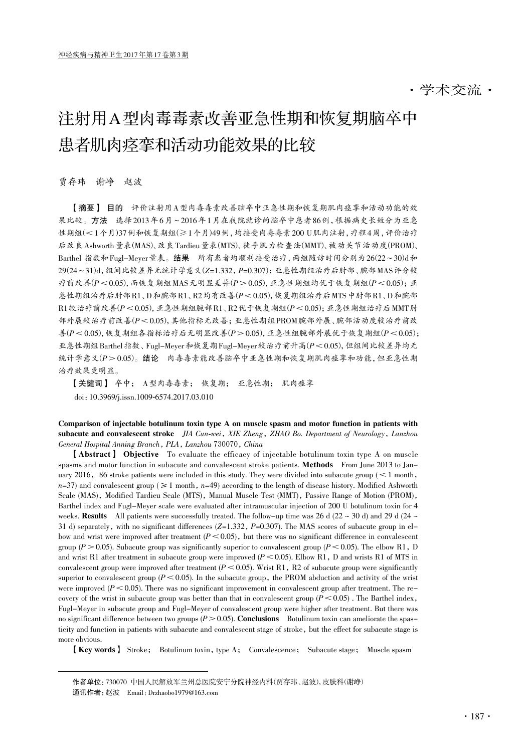# 注射用A型肉毒毒素改善亚急性期和恢复期脑卒中 患者肌肉痉挛和活动功能效果的比较

贾存玮 谢峥 赵波

【摘要】 目的 评价注射用A型肉毒毒素改善脑卒中亚急性期和恢复期肌肉痉挛和活动功能的效 果比较。方法 选择2013年6月~2016年1月在我院就诊的脑卒中患者86例,根据病史长短分为亚急 性期组(<1个月)37例和恢复期组(≥1个月)49例,均接受肉毒毒素200 U肌肉注射,疗程4周,评价治疗 后改良Ashworth量表(MAS)、改良Tardieu量表(MTS)、徒手肌力检查法(MMT)、被动关节活动度(PROM)、 Barthel 指数和 Fugl-Meyer 量表。结果 所有患者均顺利接受治疗,两组随访时间分别为  $26(22-30)$ d和 29(24~31)d,组间比较差异无统计学意义(Z=1.332,P=0.307);亚急性期组治疗后肘部、腕部MAS评分较 疗前改善( $P < 0.05$ ),而恢复期组MAS无明显差异( $P > 0.05$ ), 亚急性期组均优于恢复期组( $P < 0.05$ ); 亚 急性期组治疗后肘部R1、D和腕部R1、R2均有改善(P<0.05),恢复期组治疗后MTS中肘部R1、D和腕部  $R1$ 较治疗前改善 $(P < 0.05)$ , 亚急性期组腕部 $R1$ 、 $R2$ 优于恢复期组 $(P < 0.05)$ ; 亚急性期组治疗后 MMT 肘 部外展较治疗前改善(P<0.05),其他指标无改善;亚急性期组PROM腕部外展、腕部活动度较治疗前改 善 $(P<0.05)$ ,恢复期组各指标治疗后无明显改善 $(P>0.05)$ , 亚急性组腕部外展优于恢复期组 $(P<0.05)$ ; 亚急性期组Barthel指数、Fugl-Meyer和恢复期Fugl-Meyer较治疗前升高(P<0.05),但组间比较差异均无 统计学意义(P > 0.05)。结论 肉毒毒素能改善脑卒中亚急性期和恢复期肌肉痉挛和功能,但亚急性期 治疗效果更明显。

【关键词】 卒中; A型肉毒毒素; 恢复期; 亚急性期; 肌肉痉挛 doi:10.3969/j.issn.1009-6574.2017.03.010

Comparison of injectable botulinum toxin type A on muscle spasm and motor function in patients with subacute and convalescent stroke JIA Cun-wei, XIE Zheng, ZHAO Bo. Department of Neurology, Lanzhou General Hospital Anning Branch, PLA, Lanzhou 730070, China

【Abstract】 Objective To evaluate the efficacy of injectable botulinum toxin type A on muscle spasms and motor function in subacute and convalescent stroke patients. Methods From June 2013 to January 2016, 86 stroke patients were included in this study. They were divided into subacute group ( $\leq 1$  month,  $n=37$ ) and convalescent group ( $\geq 1$  month,  $n=49$ ) according to the length of disease history. Modified Ashworth Scale (MAS), Modified Tardieu Scale (MTS), Manual Muscle Test (MMT), Passive Range of Motion (PROM), Barthel index and Fugl-Meyer scale were evaluated after intramuscular injection of 200 U botulinum toxin for 4 weeks. Results All patients were successfully treated. The follow-up time was 26 d (22  $\sim$  30 d) and 29 d (24  $\sim$ 31 d) separately, with no significant differences  $(Z=1.332, P=0.307)$ . The MAS scores of subacute group in elbow and wrist were improved after treatment  $(P \le 0.05)$ , but there was no significant difference in convalescent group ( $P>0.05$ ). Subacute group was significantly superior to convalescent group ( $P<0.05$ ). The elbow R1, D and wrist R1 after treatment in subacute group were improved ( $P < 0.05$ ). Elbow R1, D and wrists R1 of MTS in convalescent group were improved after treatment  $(P < 0.05)$ . Wrist R1, R2 of subacute group were significantly superior to convalescent group ( $P \le 0.05$ ). In the subacute group, the PROM abduction and activity of the wrist were improved  $(P<0.05)$ . There was no significant improvement in convalescent group after treatment. The recovery of the wrist in subacute group was better than that in convalescent group  $(P < 0.05)$ . The Barthel index, Fugl-Meyer in subacute group and Fugl-Meyer of convalescent group were higher after treatment. But there was no significant difference between two groups  $(P>0.05)$ . Conclusions Botulinum toxin can ameliorate the spasticity and function in patients with subacute and convalescent stage of stroke, but the effect for subacute stage is more obvious.

【Key words】 Stroke; Botulinum toxin, type A; Convalescence; Subacute stage; Muscle spasm

作者单位:730070 中国人民解放军兰州总医院安宁分院神经内科(贾存玮、赵波),皮肤科(谢峥) 通讯作者:赵波 Email:Drzhaobo1979@163.com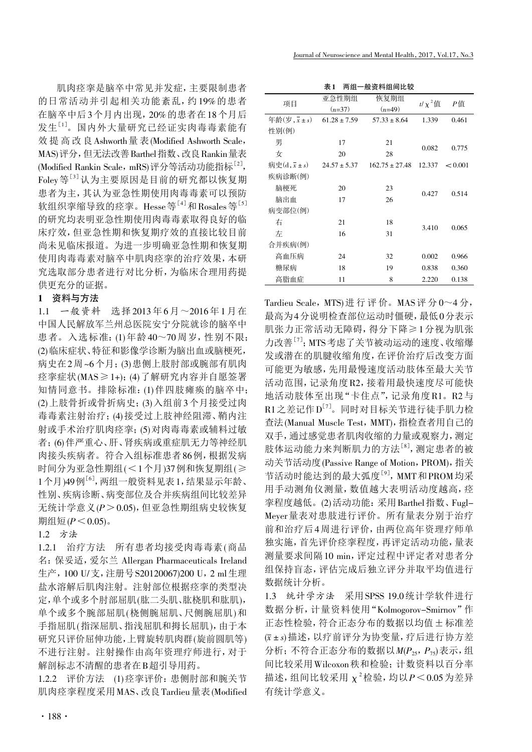肌肉痉挛是脑卒中常见并发症,主要限制患者 的日常活动并引起相关功能紊乱,约19%的患者 在脑卒中后3个月内出现,20%的患者在18个月后 发生[1] 。国内外大量研究已经证实肉毒毒素能有 效提高改良Ashworth量 表(Modified Ashworth Scale, MAS)评分,但无法改善Barthel指数、改良Rankin量表 (Modified Rankin Scale, mRS)评分等活动功能指标<sup>[2]</sup>, Foley等[3]认为主要原因是目前的研究都以恢复期 患者为主,其认为亚急性期使用肉毒毒素可以预防 软组织挛缩导致的痉挛。Hesse等<sup>[4]</sup>和Rosales等<sup>[5]</sup> 的研究均表明亚急性期使用肉毒毒素取得良好的临 床疗效,但亚急性期和恢复期疗效的直接比较目前 尚未见临床报道。为进一步明确亚急性期和恢复期 使用肉毒毒素对脑卒中肌肉痉挛的治疗效果,本研 究选取部分患者进行对比分析,为临床合理用药提 供更充分的证据。

# 1 资料与方法

1.1 一般资料 选择2013年6月~2016年1月在 中国人民解放军兰州总医院安宁分院就诊的脑卒中 患者。入选标准:(1)年龄40~70周岁,性别不限; (2)临床症状、特征和影像学诊断为脑出血或脑梗死, 病史在2周~6个月;(3)患侧上肢肘部或腕部有肌肉 痉挛症状(MAS≥1+);(4)了解研究内容并自愿签署 知情同意书。排除标准:(1)伴四肢瘫痪的脑卒中; (2)上肢骨折或骨折病史;(3)入组前3个月接受过肉 毒毒素注射治疗;(4)接受过上肢神经阻滞、鞘内注 射或手术治疗肌肉痉挛;(5)对肉毒毒素或辅料过敏 者;(6)伴严重心、肝、肾疾病或重症肌无力等神经肌 肉接头疾病者。符合入组标准患者86例,根据发病 时间分为亚急性期组(<1个月)37例和恢复期组(≥ 1个月)49例<sup>[6]</sup>,两组一般资料见表1,结果显示年龄、 性别、疾病诊断、病变部位及合并疾病组间比较差异 无统计学意义 $(P>0.05)$ , 但亚急性期组病史较恢复 期组短 $(P < 0.05)$ 。

## 1.2 方法

1.2.1 治疗方法 所有患者均接受肉毒毒素(商品 名:保妥适,爱尔兰 Allergan Pharmaceuticals Ireland 生产,100 U/支,注册号S20120067)200 U,2 ml生理 盐水溶解后肌肉注射。注射部位根据痉挛的类型决 定,单个或多个肘部屈肌(肱二头肌、肱桡肌和肱肌), 单个或多个腕部屈肌(桡侧腕屈肌、尺侧腕屈肌)和 手指屈肌(指深屈肌、指浅屈肌和拇长屈肌),由于本 研究只评价屈伸功能,上臂旋转肌肉群(旋前圆肌等) 不进行注射。注射操作由高年资理疗师进行,对于 解剖标志不清醒的患者在B超引导用药。

1.2.2 评价方法 (1)痉挛评价:患侧肘部和腕关节 肌肉痉挛程度采用MAS、改良Tardieu量表(Modified

表1 两组一般资料组间比较

| 项目                                      | 亚急性期组            | 恢复期组               | $t/\chi^2$ 值 | Р值      |  |
|-----------------------------------------|------------------|--------------------|--------------|---------|--|
|                                         | $(n=37)$         | $(n=49)$           |              |         |  |
| 年龄 $(\overline{z}, \overline{x} \pm s)$ | $61.28 \pm 7.59$ | $57.33 \pm 8.64$   | 1.339        | 0.461   |  |
| 性别(例)                                   |                  |                    |              |         |  |
| 男                                       | 17               | 21                 |              | 0.775   |  |
| 女                                       | 20               | 28                 | 0.082        |         |  |
| 病史 $(d, \bar{x} \pm s)$                 | $24.57 \pm 5.37$ | $162.75 \pm 27.48$ | 12.337       | < 0.001 |  |
| 疾病诊断(例)                                 |                  |                    |              |         |  |
| 脑梗死                                     | 20               | 23                 | 0.427        | 0.514   |  |
| 脑出血                                     | 17               | 26                 |              |         |  |
| 病变部位(例)                                 |                  |                    |              |         |  |
| 右                                       | 21               | 18                 | 3.410        | 0.065   |  |
| 左                                       | 16               | 31                 |              |         |  |
| 合并疾病(例)                                 |                  |                    |              |         |  |
| 高血压病                                    | 24               | 32                 | 0.002        | 0.966   |  |
| 糖尿病                                     | 18               | 19                 | 0.838        | 0.360   |  |
| 高脂血症                                    | 11               | 8                  | 2.220        | 0.138   |  |

Tardieu Scale, MTS)进 行 评 价。MAS评 分 0~4 分, 最高为4分说明检查部位运动时僵硬,最低0分表示 肌张力正常活动无障碍,得分下降≥1分视为肌张 力改善<sup>[7]</sup>; MTS考虑了关节被动运动的速度、收缩爆 发或潜在的肌腱收缩角度,在评价治疗后改变方面 可能更为敏感,先用最慢速度活动肢体至最大关节 活动范围,记录角度R2,接着用最快速度尽可能快 地活动肢体至出现"卡住点",记录角度R1。R2与  $\mathrm{R12}$ 差记作 $\mathrm{D}^{[7]}$ 。同时对目标关节进行徒手肌力检 查法(Manual Muscle Test,MMT),指检查者用自己的 双手,通过感觉患者肌肉收缩的力量或观察力,测定 肢体运动能力来判断肌力的方法[8] ,测定患者的被 动关节活动度(Passive Range of Motion,PROM),指关 节活动时能达到的最大弧度<sup>[9]</sup>, MMT和PROM均采 用手动测角仪测量,数值越大表明活动度越高,痉 挛程度越低。(2)活动功能:采用Barthel指数、Fugl-Meyer量表对患肢进行评价。所有量表分别于治疗 前和治疗后4周进行评价,由两位高年资理疗师单 独实施,首先评价痉挛程度,再评定活动功能,量表 测量要求间隔10 min,评定过程中评定者对患者分 组保持盲态,评估完成后独立评分并取平均值进行 数据统计分析。

1.3 统计学方法 采用SPSS 19.0统计学软件进行 数据分析,计量资料使用"Kolmogorov-Smirnov"作 正态性检验,符合正态分布的数据以均值±标准差 (x±s)描述,以疗前评分为协变量,疗后进行协方差 分析;不符合正态分布的数据以 $M(P_{25},P_{75})$ 表示,组 间比较采用Wilcoxon秩和检验;计数资料以百分率 描述,组间比较采用  $\chi^2$ 检验,均以 $P$ <0.05为差异 有统计学意义。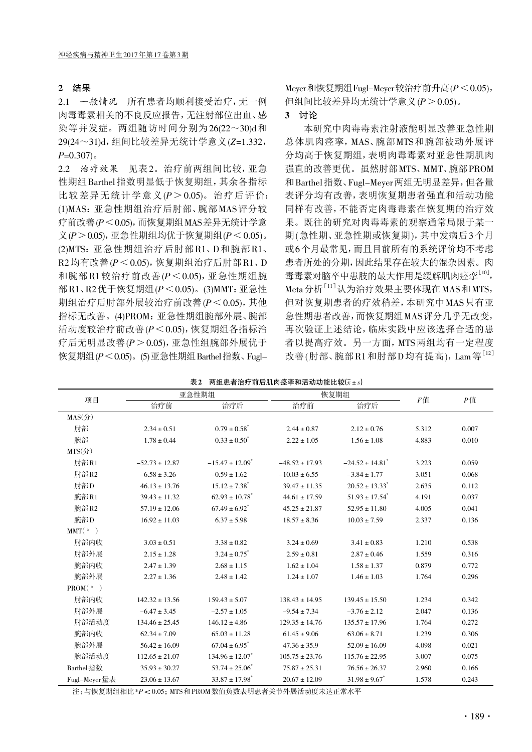### 2 结果

2.1 一般情况 所有患者均顺利接受治疗,无一例 肉毒毒素相关的不良反应报告,无注射部位出血、感 染等并发症。两组随访时间分别为26(22~30)d和 29(24~31)d,组间比较差异无统计学意义(Z=1.332,  $P=0.307$ )。

2.2 治疗效果 见表2。治疗前两组间比较,亚急 性期组Barthel指数明显低于恢复期组,其余各指标 比较差异无统计学意义 $(P > 0.05)$ 。治疗后评价: (1)MAS:亚急性期组治疗后肘部、腕部MAS评分较 疗前改善(P<0.05),而恢复期组MAS差异无统计学意  $\chi$ ( $P$   $>$  0.05), 亚急性期组均优于恢复期组( $P$ < 0.05)。 (2)MTS:亚急性期组治疗后肘部R1、D和腕部R1、  $R2$  均有改善 $(P < 0.05)$ ,恢复期组治疗后肘部 $R1, D$ 和腕部R1较治疗前改善 $(P < 0.05)$ , 亚急性期组腕 部R1、R2优于恢复期组( $P$ <0.05)。(3)MMT: 亚急性 期组治疗后肘部外展较治疗前改善(P<0.05),其他 指标无改善。(4)PROM:亚急性期组腕部外展、腕部 活动度较治疗前改善(P<0.05),恢复期组各指标治 疗后无明显改善(P>0.05),亚急性组腕部外展优于 恢复期组 $(P < 0.05)$ 。(5)亚急性期组 Barthel 指数、FuglMeyer和恢复期组Fugl-Meyer较治疗前升高(P<0.05), 但组间比较差异均无统计学意义(P>0.05)。

#### 3 讨论

本研究中肉毒毒素注射液能明显改善亚急性期 总体肌肉痉挛, MAS、腕部MTS和腕部被动外展评 分均高于恢复期组,表明肉毒毒素对亚急性期肌肉 强直的改善更优。虽然肘部MTS、MMT、腕部PROM 和Barthel指数、Fugl-Meyer两组无明显差异,但各量 表评分均有改善,表明恢复期患者强直和活动功能 同样有改善,不能否定肉毒毒素在恢复期的治疗效 果。既往的研究对肉毒毒素的观察通常局限于某一 期(急性期、亚急性期或恢复期),其中发病后3个月 或6个月最常见,而且目前所有的系统评价均不考虑 患者所处的分期,因此结果存在较大的混杂因素。肉 毒毒素对脑卒中患肢的最大作用是缓解肌肉痉挛[10], Meta分析<sup>[11]</sup>认为治疗效果主要体现在MAS和MTS, 但对恢复期患者的疗效稍差,本研究中MAS只有亚 急性期患者改善,而恢复期组MAS评分几乎无改变, 再次验证上述结论,临床实践中应该选择合适的患 者以提高疗效。另一方面,MTS两组均有一定程度 改善(肘部、腕部R1和肘部D均有提高), Lam等[12]

| 项目                             | 亚急性期组              |                                 | 恢复期组               |                                 | F值    | $P$ 值 |
|--------------------------------|--------------------|---------------------------------|--------------------|---------------------------------|-------|-------|
|                                | 治疗前                | 治疗后                             | 治疗前                | 治疗后                             |       |       |
| $MAS(\frac{\Lambda}{\Lambda})$ |                    |                                 |                    |                                 |       |       |
| 肘部                             | $2.34 \pm 0.51$    | $0.79 \pm 0.58$ <sup>*</sup>    | $2.44 \pm 0.87$    | $2.12 \pm 0.76$                 | 5.312 | 0.007 |
| 腕部                             | $1.78 \pm 0.44$    | $0.33 \pm 0.50^*$               | $2.22 \pm 1.05$    | $1.56 \pm 1.08$                 | 4.883 | 0.010 |
| $MTS($ 分 $)$                   |                    |                                 |                    |                                 |       |       |
| 肘部R1                           | $-52.73 \pm 12.87$ | $-15.47 \pm 12.09$ <sup>*</sup> | $-48.52 \pm 17.93$ | $-24.52 \pm 14.81$ <sup>*</sup> | 3.223 | 0.059 |
| 肘部R2                           | $-6.58 \pm 3.26$   | $-0.59 \pm 1.62$                | $-10.03 \pm 6.55$  | $-3.84 \pm 1.77$                | 3.051 | 0.068 |
| 肘部D                            | $46.13 \pm 13.76$  | $15.12 \pm 7.38$ <sup>*</sup>   | $39.47 \pm 11.35$  | $20.52 \pm 13.33$ <sup>*</sup>  | 2.635 | 0.112 |
| 腕部R1                           | $39.43 \pm 11.32$  | $62.93 \pm 10.78$ <sup>*</sup>  | $44.61 \pm 17.59$  | $51.93 \pm 17.54$ <sup>*</sup>  | 4.191 | 0.037 |
| 腕部R2                           | $57.19 \pm 12.06$  | $67.49 \pm 6.92$ <sup>*</sup>   | $45.25 \pm 21.87$  | $52.95 \pm 11.80$               | 4.005 | 0.041 |
| 腕部D                            | $16.92 \pm 11.03$  | $6.37 \pm 5.98$                 | $18.57 \pm 8.36$   | $10.03 \pm 7.59$                | 2.337 | 0.136 |
| MMT(°)                         |                    |                                 |                    |                                 |       |       |
| 肘部内收                           | $3.03 \pm 0.51$    | $3.38 \pm 0.82$                 | $3.24 \pm 0.69$    | $3.41 \pm 0.83$                 | 1.210 | 0.538 |
| 肘部外展                           | $2.15 \pm 1.28$    | $3.24 \pm 0.75$                 | $2.59 \pm 0.81$    | $2.87 \pm 0.46$                 | 1.559 | 0.316 |
| 腕部内收                           | $2.47 \pm 1.39$    | $2.68 \pm 1.15$                 | $1.62 \pm 1.04$    | $1.58 \pm 1.37$                 | 0.879 | 0.772 |
| 腕部外展                           | $2.27 \pm 1.36$    | $2.48 \pm 1.42$                 | $1.24 \pm 1.07$    | $1.46 \pm 1.03$                 | 1.764 | 0.296 |
| PROM(°)                        |                    |                                 |                    |                                 |       |       |
| 肘部内收                           | $142.32 \pm 13.56$ | $159.43 \pm 5.07$               | $138.43 \pm 14.95$ | $139.45 \pm 15.50$              | 1.234 | 0.342 |
| 肘部外展                           | $-6.47 \pm 3.45$   | $-2.57 \pm 1.05$                | $-9.54 \pm 7.34$   | $-3.76 \pm 2.12$                | 2.047 | 0.136 |
| 肘部活动度                          | $134.46 \pm 25.45$ | $146.12 \pm 4.86$               | $129.35 \pm 14.76$ | $135.57 \pm 17.96$              | 1.764 | 0.272 |
|                                |                    |                                 |                    |                                 |       |       |

腕部内收 62.34 ± 7.09 65.03 ± 11.28 61.45 ± 9.06 63.06 ± 8.71 1.239 0.306 腕部外展 56.42±16.09 67.04±6.95 47.36±35.9 52.09±16.09 4.098 0.021 腕部活动度 112.65±21.07 134.96±12.07<sup>\*</sup> 105.75±23.76 115.76±22.95 3.007 0.075 Barthel 指数 35.93 ± 30.27 53.74 ±  $25.06^*$  75.87 ±  $25.31$  76.56 ±  $26.37$  2.960 0.166 Fugl-Meyer 量表 23.06±13.67 33.87±17.98\* 20.67±12.09 31.98±9.67\* 1.578 0.243

| 表2 两组患者治疗前后肌肉痉挛和活动功能比较( $\bar{x}$ ±s) |
|---------------------------------------|
|                                       |

注:与恢复期组相比 \*P< 0.05; MTS 和 PROM 数值负数表明患者关节外展活动度未达正常水平